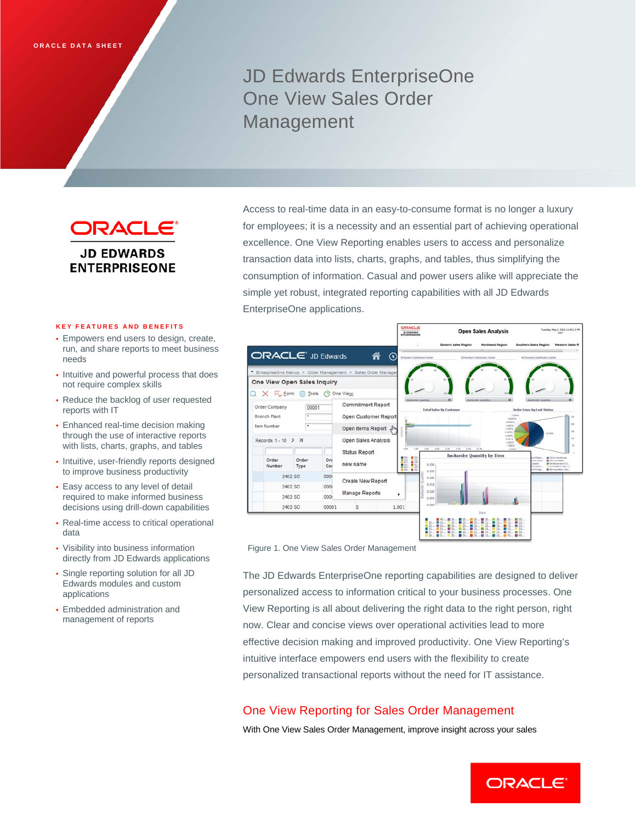# JD Edwards EnterpriseOne One View Sales Order Management

ORACLE' **JD EDWARDS ENTERPRISEONE** 

### **KEY FEATURES AND BENEFITS**

- Empowers end users to design, create, run, and share reports to meet business needs
- Intuitive and powerful process that does not require complex skills
- Reduce the backlog of user requested reports with IT
- Enhanced real-time decision making through the use of interactive reports with lists, charts, graphs, and tables
- Intuitive, user-friendly reports designed to improve business productivity
- Easy access to any level of detail required to make informed business decisions using drill-down capabilities
- Real-time access to critical operational data
- Visibility into business information directly from JD Edwards applications
- Single reporting solution for all JD Edwards modules and custom applications
- Embedded administration and management of reports

Access to real-time data in an easy-to-consume format is no longer a luxury for employees; it is a necessity and an essential part of achieving operational excellence. One View Reporting enables users to access and personalize transaction data into lists, charts, graphs, and tables, thus simplifying the consumption of information. Casual and power users alike will appreciate the simple yet robust, integrated reporting capabilities with all JD Edwards EnterpriseOne applications.



Figure 1. One View Sales Order Management

The JD Edwards EnterpriseOne reporting capabilities are designed to deliver personalized access to information critical to your business processes. One View Reporting is all about delivering the right data to the right person, right now. Clear and concise views over operational activities lead to more effective decision making and improved productivity. One View Reporting's intuitive interface empowers end users with the flexibility to create personalized transactional reports without the need for IT assistance.

## One View Reporting for Sales Order Management

With One View Sales Order Management, improve insight across your sales